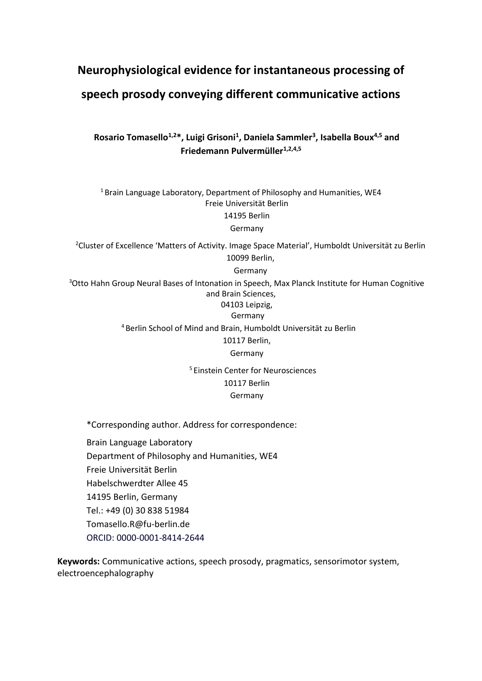## **Neurophysiological evidence for instantaneous processing of speech prosody conveying different communicative actions**

**Rosario Tomasello1,2\*, Luigi Grisoni<sup>1</sup> , Daniela Sammler<sup>3</sup> , Isabella Boux4,5 and Friedemann Pulvermüller1,2,4,5**

<sup>1</sup> Brain Language Laboratory, Department of Philosophy and Humanities, WE4 Freie Universität Berlin 14195 Berlin Germany

<sup>2</sup>Cluster of Excellence 'Matters of Activity. Image Space Material', Humboldt Universität zu Berlin 10099 Berlin,

Germany

<sup>3</sup>Otto Hahn Group Neural Bases of Intonation in Speech, Max Planck Institute for Human Cognitive and Brain Sciences, 04103 Leipzig, Germany

<sup>4</sup>Berlin School of Mind and Brain, Humboldt Universität zu Berlin

10117 Berlin,

Germany

<sup>5</sup> Einstein Center for Neurosciences 10117 Berlin Germany

\*Corresponding author. Address for correspondence:

Brain Language Laboratory Department of Philosophy and Humanities, WE4 Freie Universität Berlin Habelschwerdter Allee 45 14195 Berlin, Germany Tel.: +49 (0) 30 838 51984 Tomasello.R@fu-berlin.de ORCID: 0000-0001-8414-2644

**Keywords:** Communicative actions, speech prosody, pragmatics, sensorimotor system, electroencephalography